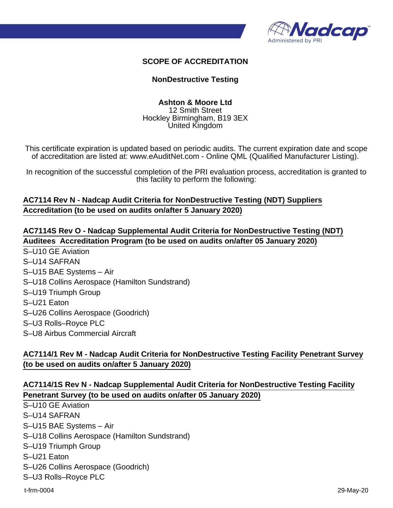

#### **SCOPE OF ACCREDITATION**

#### **NonDestructive Testing**

#### **Ashton & Moore Ltd** 12 Smith Street

Hockley Birmingham, B19 3EX United Kingdom

This certificate expiration is updated based on periodic audits. The current expiration date and scope of accreditation are listed at: www.eAuditNet.com - Online QML (Qualified Manufacturer Listing).

In recognition of the successful completion of the PRI evaluation process, accreditation is granted to this facility to perform the following:

# **AC7114 Rev N - Nadcap Audit Criteria for NonDestructive Testing (NDT) Suppliers Accreditation (to be used on audits on/after 5 January 2020)**

**AC7114S Rev O - Nadcap Supplemental Audit Criteria for NonDestructive Testing (NDT) Auditees Accreditation Program (to be used on audits on/after 05 January 2020)** S–U10 GE Aviation S–U14 SAFRAN S–U15 BAE Systems – Air S–U18 Collins Aerospace (Hamilton Sundstrand) S–U19 Triumph Group S–U21 Eaton S–U26 Collins Aerospace (Goodrich) S–U3 Rolls–Royce PLC

S–U8 Airbus Commercial Aircraft

# **AC7114/1 Rev M - Nadcap Audit Criteria for NonDestructive Testing Facility Penetrant Survey (to be used on audits on/after 5 January 2020)**

## **AC7114/1S Rev N - Nadcap Supplemental Audit Criteria for NonDestructive Testing Facility Penetrant Survey (to be used on audits on/after 05 January 2020)**

S–U10 GE Aviation S–U14 SAFRAN S–U15 BAE Systems – Air S–U18 Collins Aerospace (Hamilton Sundstrand) S–U19 Triumph Group S–U21 Eaton S–U26 Collins Aerospace (Goodrich) S–U3 Rolls–Royce PLC